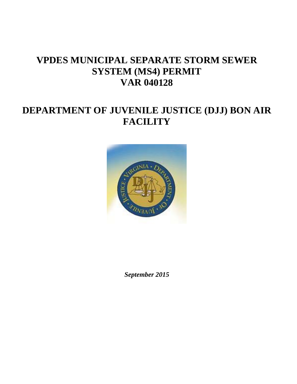# **VPDES MUNICIPAL SEPARATE STORM SEWER SYSTEM (MS4) PERMIT VAR 040128**

# **DEPARTMENT OF JUVENILE JUSTICE (DJJ) BON AIR FACILITY**



*September 2015*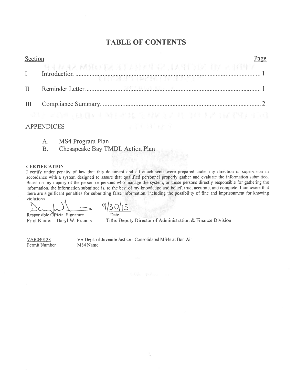# **TABLE OF CONTENTS**

Page

## Section

|              | SEE AND AN WEIGHT AND A STREET AND A STREET AND A STREET |
|--------------|----------------------------------------------------------|
| $\mathbf{H}$ |                                                          |
|              |                                                          |
|              | 그러나 그리셨 : 화실도 문화를 쓰려. 그 회사 그 그 속 마을 결과 일을 앞에 먹고라         |

## **APPENDICES**

- MS4 Program Plan A.
- Chesapeake Bay TMDL Action Plan **B.**

#### **CERTIFICATION**

I certify under penalty of law that this document and all attachments were prepared under my direction or supervision in accordance with a system designed to assure that qualified personnel properly gather and evaluate the information submitted. Based on my inquiry of the person or persons who manage the system, or those persons directly responsible for gathering the information, the information submitted is, to the best of my knowledge and belief, true, accurate, and complete. I am aware that there are significant penalties for submitting false information, including the possibility of fine and imprisonment for knowing violations.

Date

Responsible Official Signature Print Name: Daryl W. Francis

Title: Deputy Director of Administration & Finance Division

VAR040128 Permit Number VA Dept. of Juvenile Justice - Consolidated MS4s at Bon Air MS4 Name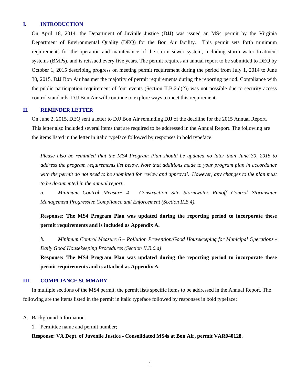## **I. INTRODUCTION**

On April 18, 2014, the Department of Juvinile Justice (DJJ) was issued an MS4 permit by the Virginia Department of Environmental Quality (DEQ) for the Bon Air facility. This permit sets forth minimum requirements for the operation and maintenance of the storm sewer system, including storm water treatment systems (BMPs), and is reissued every five years. The permit requires an annual report to be submitted to DEQ by October 1, 2015 describing progress on meeting permit requirement during the period from July 1, 2014 to June 30, 2015. DJJ Bon Air has met the majority of permit requirements during the reporting period. Compliance with the public participation requirement of four events (Section II.B.2.d(2)) was not possible due to security access control standards. DJJ Bon Air will continue to explore ways to meet this requirement.

## **II. REMINDER LETTER**

On June 2, 2015, DEQ sent a letter to DJJ Bon Air reminding DJJ of the deadline for the 2015 Annual Report. This letter also included several items that are required to be addressed in the Annual Report. The following are the items listed in the letter in italic typeface followed by responses in bold typeface:

*Please also be reminded that the MS4 Program Plan should be updated no later than June 30, 2015 to address the program requirements list below. Note that additions made to your program plan in accordance with the permit do not need to be submitted for review and approval. However, any changes to the plan must to be documented in the annual report.* 

*a. Minimum Control Measure 4 - Construction Site Stormwater Runoff Control Stormwater Management Progressive Compliance and Enforcement (Section II.B.4).* 

**Response: The MS4 Program Plan was updated during the reporting period to incorporate these permit requirements and is included as Appendix A.** 

*b. Minimum Control Measure 6 – Pollution Prevention/Good Housekeeping for Municipal Operations - Daily Good Housekeeping Procedures (Section II.B.6.a)* 

**Response: The MS4 Program Plan was updated during the reporting period to incorporate these permit requirements and is attached as Appendix A.** 

## **III. COMPLIANCE SUMMARY**

In multiple sections of the MS4 permit, the permit lists specific items to be addressed in the Annual Report. The following are the items listed in the permit in italic typeface followed by responses in bold typeface:

A. Background Information.

1. Permittee name and permit number;

**Response: VA Dept. of Juvenile Justice - Consolidated MS4s at Bon Air, permit VAR040128.**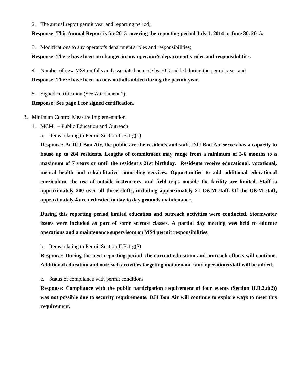2. The annual report permit year and reporting period;

## **Response: This Annual Report is for 2015 covering the reporting period July 1, 2014 to June 30, 2015.**

3. Modifications to any operator's department's roles and responsibilities;

## **Response: There have been no changes in any operator's department's roles and responsibilities.**

4. Number of new MS4 outfalls and associated acreage by HUC added during the permit year; and **Response: There have been no new outfalls added during the permit year.** 

5. Signed certification (See Attachment 1);

## **Response: See page 1 for signed certification.**

## B. Minimum Control Measure Implementation.

- 1. MCM1 Public Education and Outreach
	- a. Items relating to Permit Section II.B.1.g(1)

**Response: At DJJ Bon Air, the public are the residents and staff. DJJ Bon Air serves has a capacity to house up to 284 residents. Lengths of commitment may range from a minimum of 3-6 months to a maximum of 7 years or until the resident's 21st birthday. Residents receive educational, vocational, mental health and rehabilitative counseling services. Opportunities to add additional educational curriculum, the use of outside instructors, and field trips outside the facility are limited. Staff is approximately 200 over all three shifts, including approximately 21 O&M staff. Of the O&M staff, approximately 4 are dedicated to day to day grounds maintenance.**

**During this reporting period limited education and outreach activities were conducted. Stormwater issues were included as part of some science classes. A partial day meeting was held to educate operations and a maintenance supervisors on MS4 permit responsibilities.** 

b. Items relating to Permit Section II.B.1.g(2)

**Response: During the next reporting period, the current education and outreach efforts will continue. Additional education and outreach activities targeting maintenance and operations staff will be added.** 

c. Status of compliance with permit conditions

**Response: Compliance with the public participation requirement of four events (Section II.B.2.d(2)) was not possible due to security requirements. DJJ Bon Air will continue to explore ways to meet this requirement.**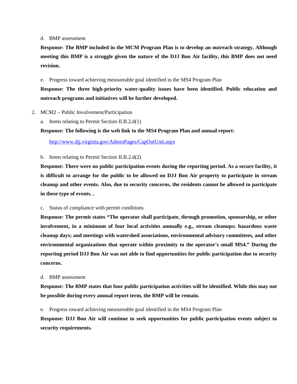#### d. BMP assessment

**Response: The BMP included in the MCM Program Plan is to develop an outreach strategy. Although meeting this BMP is a struggle given the nature of the DJJ Bon Air facility, this BMP does not need revision.** 

e. Progress toward achieving measureable goal identified in the MS4 Program Plan

## **Response: The three high-priority water-quality issues have been identified. Public education and outreach programs and initiatives will be further developed.**

- 2. MCM2 Public Involvement/Participation
	- a. Items relating to Permit Section II.B.2.d(1)

**Response: The following is the web link to the MS4 Program Plan and annual report:** 

http://www.djj.virginia.gov/AdminPages/CapOutUnit.aspx

b. Items relating to Permit Section II.B.2.d(2)

**Response: There were no public participation events during the reporting period. As a secure facility, it is difficult to arrange for the public to be allowed on DJJ Bon Air property to participate in stream cleanup and other events. Also, due to security concerns, the residents cannot be allowed to participate in these type of events. .** 

c. Status of compliance with permit conditions

**Response: The permit states "The operator shall participate, through promotion, sponsorship, or other involvement, in a minimum of four local activities annually e.g., stream cleanups; hazardous waste cleanup days; and meetings with watershed associations, environmental advisory committees, and other environmental organizations that operate within proximity to the operator's small MS4." During the reporting period DJJ Bon Air was not able to find opportunities for public participation due to security concerns.** 

d. BMP assessment

**Response: The BMP states that four public participation activities will be identified. While this may not be possible during every annual report term, the BMP will be remain.** 

e. Progress toward achieving measureable goal identified in the MS4 Program Plan

**Response: DJJ Bon Air will continue to seek opportunities for public participation events subject to security requirements.**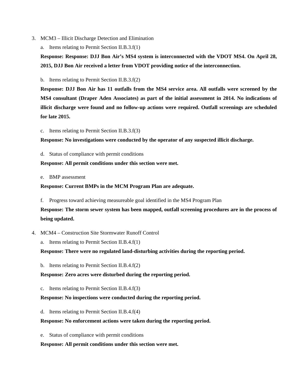- 3. MCM3 Illicit Discharge Detection and Elimination
	- a. Items relating to Permit Section II.B.3.f(1)

**Response: Response: DJJ Bon Air's MS4 system is interconnected with the VDOT MS4. On April 28, 2015, DJJ Bon Air received a letter from VDOT providing notice of the interconnection.** 

b. Items relating to Permit Section II.B.3.f(2)

**Response: DJJ Bon Air has 11 outfalls from the MS4 service area. All outfalls were screened by the MS4 consultant (Draper Aden Associates) as part of the initial assessment in 2014. No indications of illicit discharge were found and no follow-up actions were required. Outfall screenings are scheduled for late 2015.** 

c. Items relating to Permit Section II.B.3.f(3)

**Response: No investigations were conducted by the operator of any suspected illicit discharge.** 

d. Status of compliance with permit conditions

**Response: All permit conditions under this section were met.** 

e. BMP assessment

## **Response: Current BMPs in the MCM Program Plan are adequate.**

f. Progress toward achieving measureable goal identified in the MS4 Program Plan

**Response: The storm sewer system has been mapped, outfall screening procedures are in the process of being updated.** 

- 4. MCM4 Construction Site Stormwater Runoff Control
	- a. Items relating to Permit Section II.B.4.f(1)

**Response: There were no regulated land-disturbing activities during the reporting period.** 

b. Items relating to Permit Section II.B.4.f(2)

**Response: Zero acres were disturbed during the reporting period.** 

c. Items relating to Permit Section II.B.4.f(3)

## **Response: No inspections were conducted during the reporting period.**

d. Items relating to Permit Section II.B.4.f(4)

## **Response: No enforcement actions were taken during the reporting period.**

e. Status of compliance with permit conditions

## **Response: All permit conditions under this section were met.**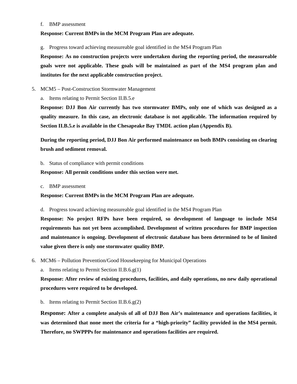#### f. BMP assessment

## **Response: Current BMPs in the MCM Program Plan are adequate.**

g. Progress toward achieving measureable goal identified in the MS4 Program Plan

**Response: As no construction projects were undertaken during the reporting period, the measureable goals were not applicable. These goals will be maintained as part of the MS4 program plan and institutes for the next applicable construction project.** 

5. MCM5 – Post-Construction Stormwater Management

a. Items relating to Permit Section II.B.5.e

**Response: DJJ Bon Air currently has two stormwater BMPs, only one of which was designed as a quality measure. In this case, an electronic database is not applicable. The information required by Section II.B.5.e is available in the Chesapeake Bay TMDL action plan (Appendix B).** 

**During the reporting period, DJJ Bon Air performed maintenance on both BMPs consisting on clearing brush and sediment removal.** 

b. Status of compliance with permit conditions

## **Response: All permit conditions under this section were met.**

c. BMP assessment

## **Response: Current BMPs in the MCM Program Plan are adequate.**

d. Progress toward achieving measureable goal identified in the MS4 Program Plan

**Response: No project RFPs have been required, so development of language to include MS4 requirements has not yet been accomplished. Development of written procedures for BMP inspection and maintenance is ongoing. Development of electronic database has been determined to be of limited value given there is only one stormwater quality BMP.** 

- 6. MCM6 Pollution Prevention/Good Housekeeping for Municipal Operations
	- a. Items relating to Permit Section II.B.6.g(1)

**Response: After review of existing procedures, facilities, and daily operations, no new daily operational procedures were required to be developed.** 

b. Items relating to Permit Section II.B.6.g(2)

**Response: After a complete analysis of all of DJJ Bon Air's maintenance and operations facilities, it was determined that none meet the criteria for a "high-priority" facility provided in the MS4 permit. Therefore, no SWPPPs for maintenance and operations facilities are required.**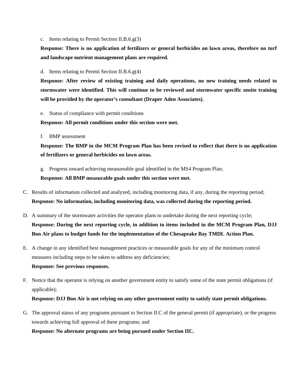c. Items relating to Permit Section II.B.6.g(3)

**Response: There is no application of fertilizers or general herbicides on lawn areas, therefore no turf and landscape nutrient management plans are required.** 

d. Items relating to Permit Section II.B.6.g(4)

**Response: After review of existing training and daily operations, no new training needs related to stormwater were identified. This will continue to be reviewed and stormwater specific onsite training will be provided by the operator's consultant (Draper Aden Associates).** 

e. Status of compliance with permit conditions

**Response: All permit conditions under this section were met.** 

f. BMP assessment

**Response: The BMP in the MCM Program Plan has been revised to reflect that there is no application of fertilizers or general herbicides on lawn areas.** 

g. Progress toward achieving measureable goal identified in the MS4 Program Plan;

**Response: All BMP measurable goals under this section were met.** 

- C. Results of information collected and analyzed, including monitoring data, if any, during the reporting period; **Response: No information, including monitoring data, was collected during the reporting period.**
- D. A summary of the stormwater activities the operator plans to undertake during the next reporting cycle; **Response: During the next reporting cycle, in addition to items included in the MCM Program Plan, DJJ Bon Air plans to budget funds for the implementation of the Chesapeake Bay TMDL Action Plan.**
- E. A change in any identified best management practices or measurable goals for any of the minimum control measures including steps to be taken to address any deficiencies;

## **Response: See previous responses.**

F. Notice that the operator is relying on another government entity to satisfy some of the state permit obligations (if applicable);

## **Response: DJJ Bon Air is not relying on any other government entity to satisfy state permit obligations.**

G. The approval status of any programs pursuant to Section II.C of the general permit (if appropriate), or the progress towards achieving full approval of these programs; and

**Response: No alternate programs are being pursued under Section IIC.**